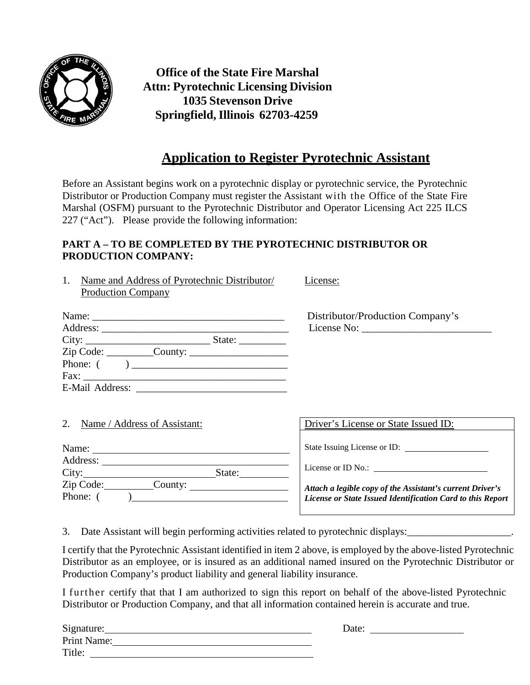

**Office of the State Fire Marshal Attn: Pyrotechnic Licensing Division 1035 Stevenson Drive Springfield,Illinois 62703-4259**

## **Application to Register Pyrotechnic Assistant**

Before an Assistant begins work on a pyrotechnic display or pyrotechnic service, the Pyrotechnic Distributor or Production Company must register the Assistant with the Office of the State Fire Marshal (OSFM) pursuant to the Pyrotechnic Distributor and Operator Licensing Act 225 ILCS 227 ("Act"). Please provide the following information:

## **PART A – TO BE COMPLETED BY THE PYROTECHNIC DISTRIBUTOR OR PRODUCTION COMPANY:**

1. Name and Address of Pyrotechnic Distributor/ License: Production Company

| City:           | State: $\frac{2}{\sqrt{2}}$                                  |  |
|-----------------|--------------------------------------------------------------|--|
|                 | $\text{Zip Code: } \_\_\_\_ \text{Country: } \_\_\_\_\_\_\_$ |  |
| Phone: (        |                                                              |  |
|                 |                                                              |  |
| E-Mail Address: |                                                              |  |

Distributor/Production Company's License No:

|  | 2. Name / Address of Assistant: |
|--|---------------------------------|
|  |                                 |

| Name:     |         |        |  |
|-----------|---------|--------|--|
| Address:  |         |        |  |
| City:     |         | State: |  |
| Zip Code: | County: |        |  |
| Phone: (  |         |        |  |
|           |         |        |  |

Driver's License or State Issued ID:

State Issuing License or ID:

License or ID No.: \_\_\_\_\_\_\_

*Attach a legible copy of the Assistant's current Driver's License or State Issued Identification Card to this Report*

3. Date Assistant will begin performing activities related to pyrotechnic displays:

I certify that the Pyrotechnic Assistant identified in item 2 above, is employed by the above-listed Pyrotechnic Distributor as an employee, or is insured as an additional named insured on the Pyrotechnic Distributor or Production Company's product liability and general liability insurance.

I further certify that that I am authorized to sign this report on behalf of the above-listed Pyrotechnic Distributor or Production Company, and that all information contained herein is accurate and true.

| Signature:  | Date: |
|-------------|-------|
| Print Name: |       |
| Title:      |       |